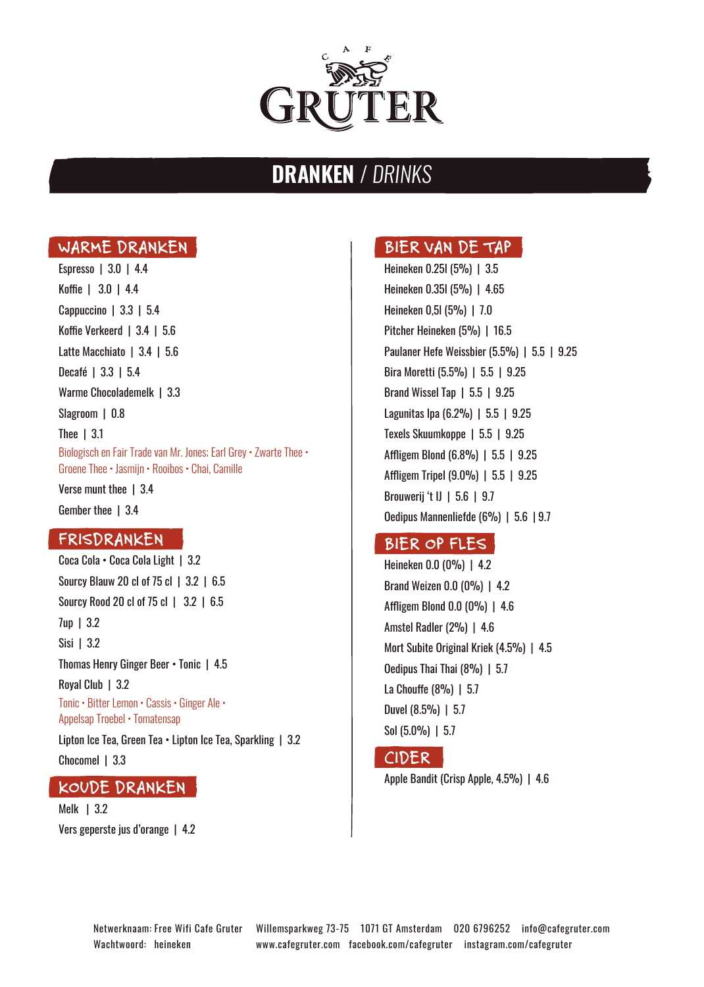

# DRANKEN / DRINKS

#### **WARME DRANKEN**

Espresso | 3.0 | 4.4 Koffie | 3.0 | 4.4 Cappuccino | 3.3 | 5.4 Koffie Verkeerd | 3.4 | 5.6 Latte Macchiato | 3.4 | 5.6 Decafé | 3.3 | 5.4 Warme Chocolademelk | 3.3 Slagroom | 0.8 Thee | 3.1 Biologisch en Fair Trade van Mr. Jones; Earl Grey • Zwarte Thee • Groene Thee • Jasmijn • Rooibos • Chai, Camille Verse munt thee 1 3.4

Gember thee 1 3.4

#### **FRISDRANKEN**

Coca Cola • Coca Cola Light | 3.2 Sourcy Blauw 20 cl of 75 cl | 3.2 | 6.5 Sourcy Rood 20 cl of 75 cl | 3.2 | 6.5 7up | 3.2 Sisi | 3.2 Thomas Henry Ginger Beer • Tonic | 4.5 Royal Club | 3.2 Tonic • Bitter Lemon • Cassis • Ginger Ale • Appelsap Troebel • Tomatensap

Lipton Ice Tea, Green Tea • Lipton Ice Tea, Sparkling | 3.2 Chocomel | 3.3

#### **KOUDE DRANKEN**

Melk | 3.2 Vers geperste jus d'orange | 4.2

## **BIER VAN DE TAP**

Heineken 0.25l (5%) | 3.5 Heineken 0.35l (5%) | 4.65 Heineken 0,5l (5%) | 7.0 Pitcher Heineken (5%) | 16.5 Paulaner Hefe Weissbier (5.5%) | 5.5 | 9.25 Bira Moretti (5.5%) | 5.5 | 9.25 Brand Wissel Tap | 5.5 | 9.25 Lagunitas Ipa (6.2%) | 5.5 | 9.25 Texels Skuumkoppe | 5.5 | 9.25 Affligem Blond (6.8%) | 5.5 | 9.25 Affligem Tripel (9.0%) | 5.5 | 9.25 Brouwerij 't IJ | 5.6 | 9.7 Oedipus Mannenliefde (6%) | 5.6 | 9.7

## **BIER OP FLES**

Heineken 0.0 (0%) | 4.2 Brand Weizen 0.0 (0%) | 4.2 Affligem Blond 0.0 (0%) | 4.6 Amstel Radler (2%) | 4.6 Mort Subite Original Kriek (4.5%) | 4.5 Oedipus Thai Thai (8%) | 5.7 La Chouffe (8%) | 5.7 Duvel (8.5%) | 5.7 Sol (5.0%) | 5.7

## **CIDER**

Apple Bandit (Crisp Apple, 4.5%) | 4.6

Wachtwoord: heineken